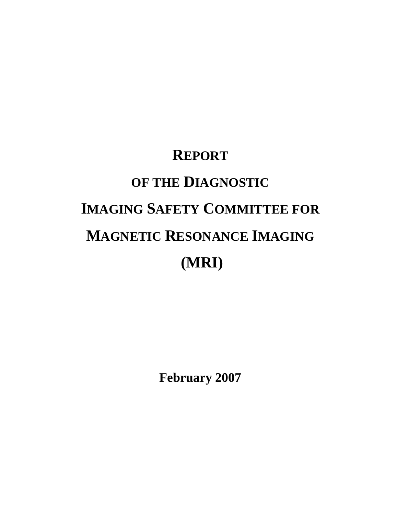# **REPORT OF THE DIAGNOSTIC IMAGING SAFETY COMMITTEE FOR MAGNETIC RESONANCE IMAGING (MRI)**

**February 2007**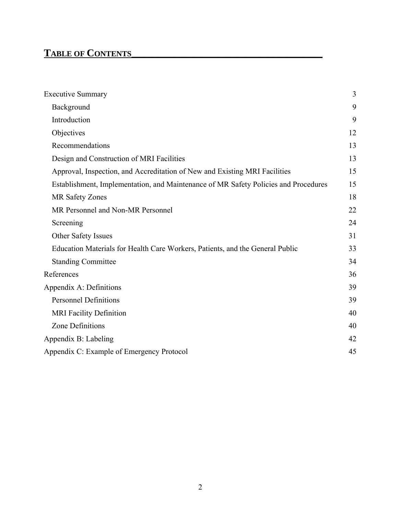# **TABLE OF CONTENTS\_\_\_\_\_\_\_\_\_\_\_\_\_\_\_\_\_\_\_\_\_\_\_\_\_\_\_\_\_\_\_\_\_\_\_\_\_\_\_\_\_\_\_\_\_\_\_\_\_**

| <b>Executive Summary</b>                                                            | 3  |
|-------------------------------------------------------------------------------------|----|
| Background                                                                          | 9  |
| Introduction                                                                        | 9  |
| Objectives                                                                          | 12 |
| Recommendations                                                                     | 13 |
| Design and Construction of MRI Facilities                                           | 13 |
| Approval, Inspection, and Accreditation of New and Existing MRI Facilities          | 15 |
| Establishment, Implementation, and Maintenance of MR Safety Policies and Procedures | 15 |
| <b>MR Safety Zones</b>                                                              | 18 |
| MR Personnel and Non-MR Personnel                                                   | 22 |
| Screening                                                                           | 24 |
| Other Safety Issues                                                                 | 31 |
| Education Materials for Health Care Workers, Patients, and the General Public       | 33 |
| <b>Standing Committee</b>                                                           | 34 |
| References                                                                          | 36 |
| Appendix A: Definitions                                                             | 39 |
| <b>Personnel Definitions</b>                                                        | 39 |
| <b>MRI</b> Facility Definition                                                      | 40 |
| Zone Definitions                                                                    | 40 |
| Appendix B: Labeling                                                                | 42 |
| Appendix C: Example of Emergency Protocol                                           | 45 |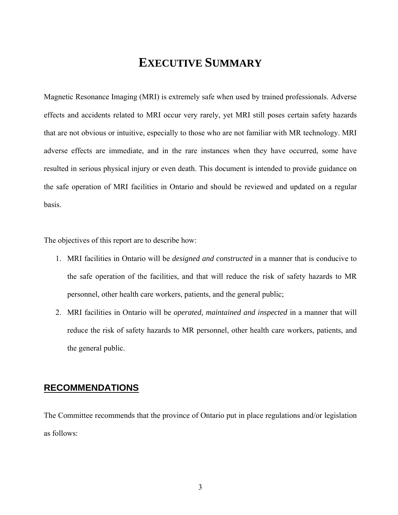# **EXECUTIVE SUMMARY**

Magnetic Resonance Imaging (MRI) is extremely safe when used by trained professionals. Adverse effects and accidents related to MRI occur very rarely, yet MRI still poses certain safety hazards that are not obvious or intuitive, especially to those who are not familiar with MR technology. MRI adverse effects are immediate, and in the rare instances when they have occurred, some have resulted in serious physical injury or even death. This document is intended to provide guidance on the safe operation of MRI facilities in Ontario and should be reviewed and updated on a regular basis.

The objectives of this report are to describe how:

- 1. MRI facilities in Ontario will be *designed and constructed* in a manner that is conducive to the safe operation of the facilities, and that will reduce the risk of safety hazards to MR personnel, other health care workers, patients, and the general public;
- 2. MRI facilities in Ontario will be *operated, maintained and inspected* in a manner that will reduce the risk of safety hazards to MR personnel, other health care workers, patients, and the general public.

### **RECOMMENDATIONS**

The Committee recommends that the province of Ontario put in place regulations and/or legislation as follows: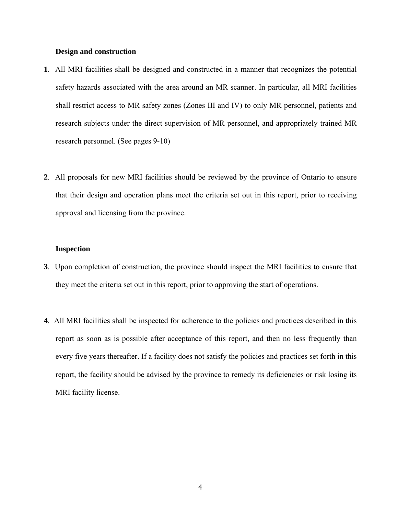### **Design and construction**

- **1**. All MRI facilities shall be designed and constructed in a manner that recognizes the potential safety hazards associated with the area around an MR scanner. In particular, all MRI facilities shall restrict access to MR safety zones (Zones III and IV) to only MR personnel, patients and research subjects under the direct supervision of MR personnel, and appropriately trained MR research personnel. (See pages 9-10)
- **2**. All proposals for new MRI facilities should be reviewed by the province of Ontario to ensure that their design and operation plans meet the criteria set out in this report, prior to receiving approval and licensing from the province.

#### **Inspection**

- **3**. Upon completion of construction, the province should inspect the MRI facilities to ensure that they meet the criteria set out in this report, prior to approving the start of operations.
- **4**. All MRI facilities shall be inspected for adherence to the policies and practices described in this report as soon as is possible after acceptance of this report, and then no less frequently than every five years thereafter. If a facility does not satisfy the policies and practices set forth in this report, the facility should be advised by the province to remedy its deficiencies or risk losing its MRI facility license.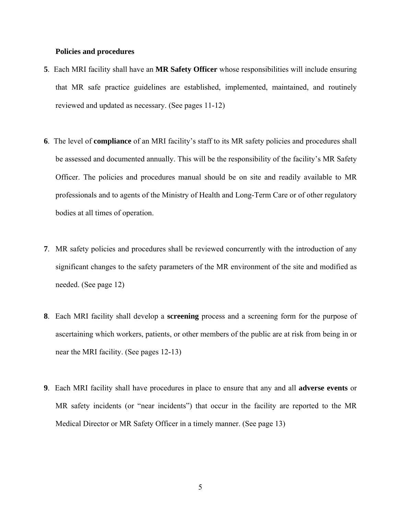### **Policies and procedures**

- **5**. Each MRI facility shall have an **MR Safety Officer** whose responsibilities will include ensuring that MR safe practice guidelines are established, implemented, maintained, and routinely reviewed and updated as necessary. (See pages 11-12)
- **6**. The level of **compliance** of an MRI facility's staff to its MR safety policies and procedures shall be assessed and documented annually. This will be the responsibility of the facility's MR Safety Officer. The policies and procedures manual should be on site and readily available to MR professionals and to agents of the Ministry of Health and Long-Term Care or of other regulatory bodies at all times of operation.
- **7**. MR safety policies and procedures shall be reviewed concurrently with the introduction of any significant changes to the safety parameters of the MR environment of the site and modified as needed. (See page 12)
- **8**. Each MRI facility shall develop a **screening** process and a screening form for the purpose of ascertaining which workers, patients, or other members of the public are at risk from being in or near the MRI facility. (See pages 12-13)
- **9**. Each MRI facility shall have procedures in place to ensure that any and all **adverse events** or MR safety incidents (or "near incidents") that occur in the facility are reported to the MR Medical Director or MR Safety Officer in a timely manner. (See page 13)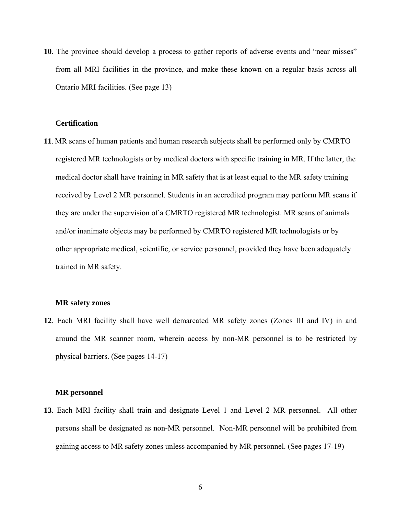**10**. The province should develop a process to gather reports of adverse events and "near misses" from all MRI facilities in the province, and make these known on a regular basis across all Ontario MRI facilities. (See page 13)

### **Certification**

**11**. MR scans of human patients and human research subjects shall be performed only by CMRTO registered MR technologists or by medical doctors with specific training in MR. If the latter, the medical doctor shall have training in MR safety that is at least equal to the MR safety training received by Level 2 MR personnel. Students in an accredited program may perform MR scans if they are under the supervision of a CMRTO registered MR technologist. MR scans of animals and/or inanimate objects may be performed by CMRTO registered MR technologists or by other appropriate medical, scientific, or service personnel, provided they have been adequately trained in MR safety.

### **MR safety zones**

**12**. Each MRI facility shall have well demarcated MR safety zones (Zones III and IV) in and around the MR scanner room, wherein access by non-MR personnel is to be restricted by physical barriers. (See pages 14-17)

### **MR personnel**

**13**. Each MRI facility shall train and designate Level 1 and Level 2 MR personnel. All other persons shall be designated as non-MR personnel. Non-MR personnel will be prohibited from gaining access to MR safety zones unless accompanied by MR personnel. (See pages 17-19)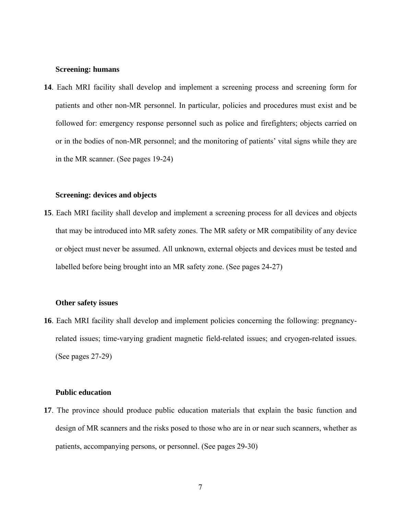#### **Screening: humans**

**14**. Each MRI facility shall develop and implement a screening process and screening form for patients and other non-MR personnel. In particular, policies and procedures must exist and be followed for: emergency response personnel such as police and firefighters; objects carried on or in the bodies of non-MR personnel; and the monitoring of patients' vital signs while they are in the MR scanner. (See pages 19-24)

### **Screening: devices and objects**

**15**. Each MRI facility shall develop and implement a screening process for all devices and objects that may be introduced into MR safety zones. The MR safety or MR compatibility of any device or object must never be assumed. All unknown, external objects and devices must be tested and labelled before being brought into an MR safety zone. (See pages 24-27)

### **Other safety issues**

**16**. Each MRI facility shall develop and implement policies concerning the following: pregnancyrelated issues; time-varying gradient magnetic field-related issues; and cryogen-related issues. (See pages 27-29)

### **Public education**

**17**. The province should produce public education materials that explain the basic function and design of MR scanners and the risks posed to those who are in or near such scanners, whether as patients, accompanying persons, or personnel. (See pages 29-30)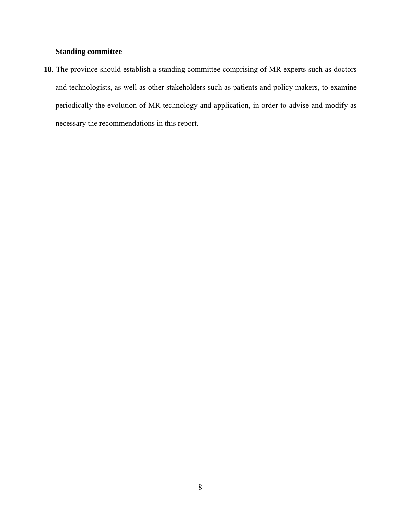### **Standing committee**

**18**. The province should establish a standing committee comprising of MR experts such as doctors and technologists, as well as other stakeholders such as patients and policy makers, to examine periodically the evolution of MR technology and application, in order to advise and modify as necessary the recommendations in this report.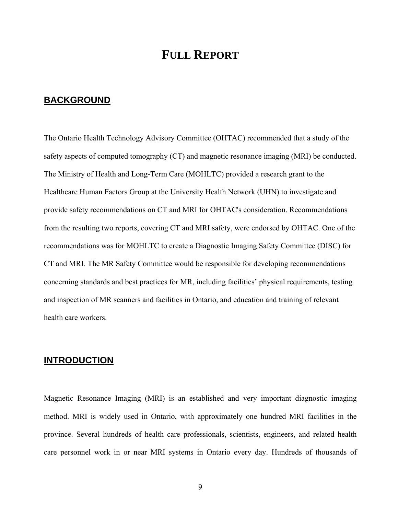### **FULL REPORT**

### **BACKGROUND**

The Ontario Health Technology Advisory Committee (OHTAC) recommended that a study of the safety aspects of computed tomography (CT) and magnetic resonance imaging (MRI) be conducted. The Ministry of Health and Long-Term Care (MOHLTC) provided a research grant to the Healthcare Human Factors Group at the University Health Network (UHN) to investigate and provide safety recommendations on CT and MRI for OHTAC's consideration. Recommendations from the resulting two reports, covering CT and MRI safety, were endorsed by OHTAC. One of the recommendations was for MOHLTC to create a Diagnostic Imaging Safety Committee (DISC) for CT and MRI. The MR Safety Committee would be responsible for developing recommendations concerning standards and best practices for MR, including facilities' physical requirements, testing and inspection of MR scanners and facilities in Ontario, and education and training of relevant health care workers.

### **INTRODUCTION**

Magnetic Resonance Imaging (MRI) is an established and very important diagnostic imaging method. MRI is widely used in Ontario, with approximately one hundred MRI facilities in the province. Several hundreds of health care professionals, scientists, engineers, and related health care personnel work in or near MRI systems in Ontario every day. Hundreds of thousands of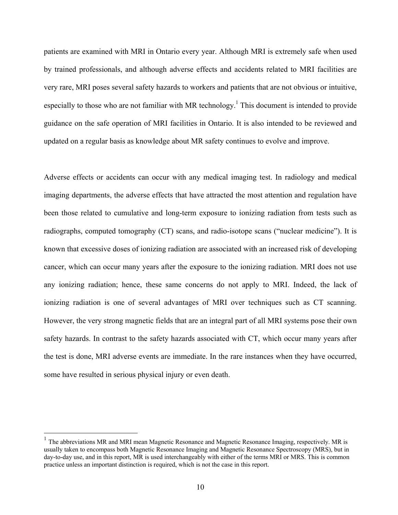patients are examined with MRI in Ontario every year. Although MRI is extremely safe when used by trained professionals, and although adverse effects and accidents related to MRI facilities are very rare, MRI poses several safety hazards to workers and patients that are not obvious or intuitive, especially to those who are not familiar with MR technology.<sup>1</sup> This document is intended to provide guidance on the safe operation of MRI facilities in Ontario. It is also intended to be reviewed and updated on a regular basis as knowledge about MR safety continues to evolve and improve.

Adverse effects or accidents can occur with any medical imaging test. In radiology and medical imaging departments, the adverse effects that have attracted the most attention and regulation have been those related to cumulative and long-term exposure to ionizing radiation from tests such as radiographs, computed tomography (CT) scans, and radio-isotope scans ("nuclear medicine"). It is known that excessive doses of ionizing radiation are associated with an increased risk of developing cancer, which can occur many years after the exposure to the ionizing radiation. MRI does not use any ionizing radiation; hence, these same concerns do not apply to MRI. Indeed, the lack of ionizing radiation is one of several advantages of MRI over techniques such as CT scanning. However, the very strong magnetic fields that are an integral part of all MRI systems pose their own safety hazards. In contrast to the safety hazards associated with CT, which occur many years after the test is done, MRI adverse events are immediate. In the rare instances when they have occurred, some have resulted in serious physical injury or even death.

 $\overline{a}$ 

 $1$  The abbreviations MR and MRI mean Magnetic Resonance and Magnetic Resonance Imaging, respectively. MR is usually taken to encompass both Magnetic Resonance Imaging and Magnetic Resonance Spectroscopy (MRS), but in day-to-day use, and in this report, MR is used interchangeably with either of the terms MRI or MRS. This is common practice unless an important distinction is required, which is not the case in this report.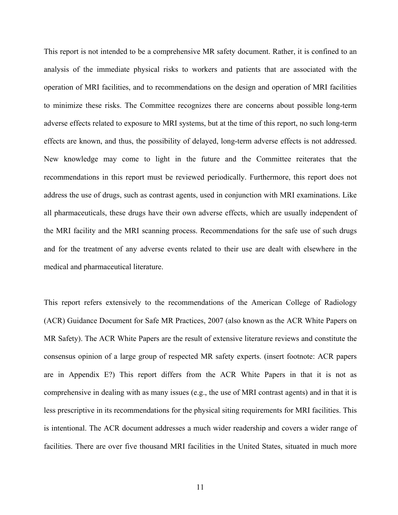This report is not intended to be a comprehensive MR safety document. Rather, it is confined to an analysis of the immediate physical risks to workers and patients that are associated with the operation of MRI facilities, and to recommendations on the design and operation of MRI facilities to minimize these risks. The Committee recognizes there are concerns about possible long-term adverse effects related to exposure to MRI systems, but at the time of this report, no such long-term effects are known, and thus, the possibility of delayed, long-term adverse effects is not addressed. New knowledge may come to light in the future and the Committee reiterates that the recommendations in this report must be reviewed periodically. Furthermore, this report does not address the use of drugs, such as contrast agents, used in conjunction with MRI examinations. Like all pharmaceuticals, these drugs have their own adverse effects, which are usually independent of the MRI facility and the MRI scanning process. Recommendations for the safe use of such drugs and for the treatment of any adverse events related to their use are dealt with elsewhere in the medical and pharmaceutical literature.

This report refers extensively to the recommendations of the American College of Radiology (ACR) Guidance Document for Safe MR Practices, 2007 (also known as the ACR White Papers on MR Safety). The ACR White Papers are the result of extensive literature reviews and constitute the consensus opinion of a large group of respected MR safety experts. (insert footnote: ACR papers are in Appendix E?) This report differs from the ACR White Papers in that it is not as comprehensive in dealing with as many issues (e.g., the use of MRI contrast agents) and in that it is less prescriptive in its recommendations for the physical siting requirements for MRI facilities. This is intentional. The ACR document addresses a much wider readership and covers a wider range of facilities. There are over five thousand MRI facilities in the United States, situated in much more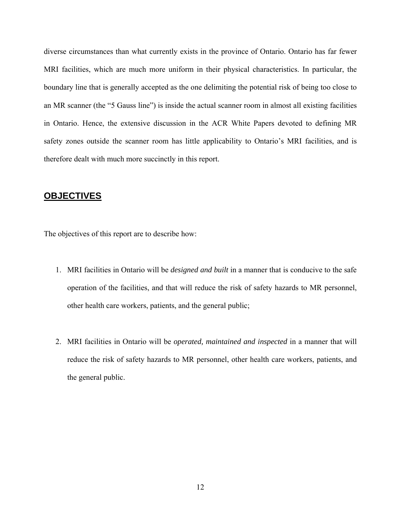diverse circumstances than what currently exists in the province of Ontario. Ontario has far fewer MRI facilities, which are much more uniform in their physical characteristics. In particular, the boundary line that is generally accepted as the one delimiting the potential risk of being too close to an MR scanner (the "5 Gauss line") is inside the actual scanner room in almost all existing facilities in Ontario. Hence, the extensive discussion in the ACR White Papers devoted to defining MR safety zones outside the scanner room has little applicability to Ontario's MRI facilities, and is therefore dealt with much more succinctly in this report.

### **OBJECTIVES**

The objectives of this report are to describe how:

- 1. MRI facilities in Ontario will be *designed and built* in a manner that is conducive to the safe operation of the facilities, and that will reduce the risk of safety hazards to MR personnel, other health care workers, patients, and the general public;
- 2. MRI facilities in Ontario will be *operated, maintained and inspected* in a manner that will reduce the risk of safety hazards to MR personnel, other health care workers, patients, and the general public.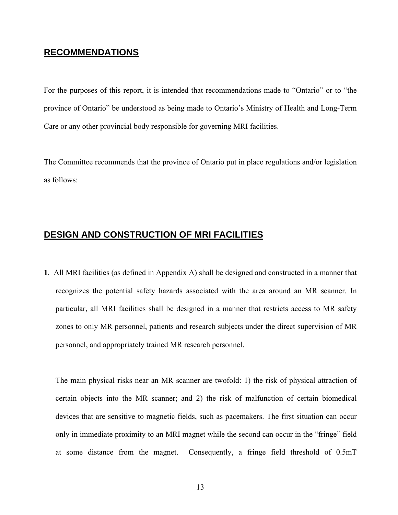### **RECOMMENDATIONS**

For the purposes of this report, it is intended that recommendations made to "Ontario" or to "the province of Ontario" be understood as being made to Ontario's Ministry of Health and Long-Term Care or any other provincial body responsible for governing MRI facilities.

The Committee recommends that the province of Ontario put in place regulations and/or legislation as follows:

### **DESIGN AND CONSTRUCTION OF MRI FACILITIES**

**1**. All MRI facilities (as defined in Appendix A) shall be designed and constructed in a manner that recognizes the potential safety hazards associated with the area around an MR scanner. In particular, all MRI facilities shall be designed in a manner that restricts access to MR safety zones to only MR personnel, patients and research subjects under the direct supervision of MR personnel, and appropriately trained MR research personnel.

The main physical risks near an MR scanner are twofold: 1) the risk of physical attraction of certain objects into the MR scanner; and 2) the risk of malfunction of certain biomedical devices that are sensitive to magnetic fields, such as pacemakers. The first situation can occur only in immediate proximity to an MRI magnet while the second can occur in the "fringe" field at some distance from the magnet. Consequently, a fringe field threshold of 0.5mT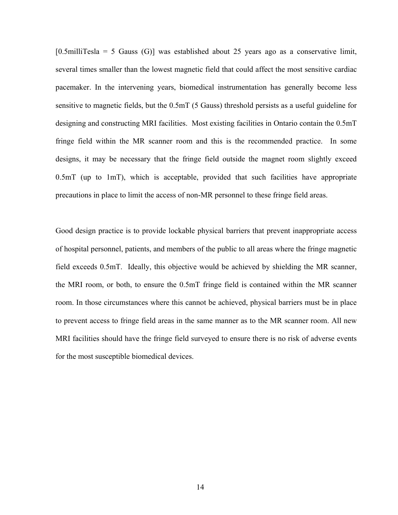$[0.5$ milliTesla = 5 Gauss  $(G)$ ] was established about 25 years ago as a conservative limit, several times smaller than the lowest magnetic field that could affect the most sensitive cardiac pacemaker. In the intervening years, biomedical instrumentation has generally become less sensitive to magnetic fields, but the 0.5mT (5 Gauss) threshold persists as a useful guideline for designing and constructing MRI facilities. Most existing facilities in Ontario contain the 0.5mT fringe field within the MR scanner room and this is the recommended practice. In some designs, it may be necessary that the fringe field outside the magnet room slightly exceed 0.5mT (up to 1mT), which is acceptable, provided that such facilities have appropriate precautions in place to limit the access of non-MR personnel to these fringe field areas.

Good design practice is to provide lockable physical barriers that prevent inappropriate access of hospital personnel, patients, and members of the public to all areas where the fringe magnetic field exceeds 0.5mT. Ideally, this objective would be achieved by shielding the MR scanner, the MRI room, or both, to ensure the 0.5mT fringe field is contained within the MR scanner room. In those circumstances where this cannot be achieved, physical barriers must be in place to prevent access to fringe field areas in the same manner as to the MR scanner room. All new MRI facilities should have the fringe field surveyed to ensure there is no risk of adverse events for the most susceptible biomedical devices.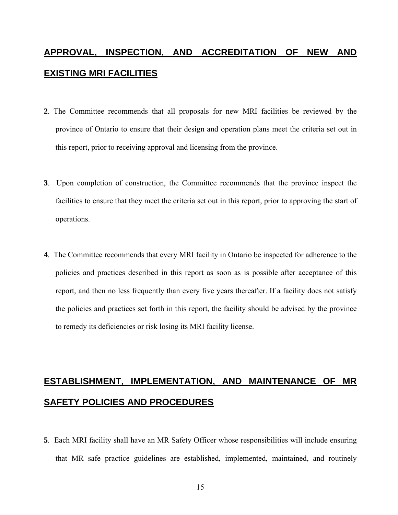# **APPROVAL, INSPECTION, AND ACCREDITATION OF NEW AND EXISTING MRI FACILITIES**

- **2**. The Committee recommends that all proposals for new MRI facilities be reviewed by the province of Ontario to ensure that their design and operation plans meet the criteria set out in this report, prior to receiving approval and licensing from the province.
- **3**. Upon completion of construction, the Committee recommends that the province inspect the facilities to ensure that they meet the criteria set out in this report, prior to approving the start of operations.
- **4**. The Committee recommends that every MRI facility in Ontario be inspected for adherence to the policies and practices described in this report as soon as is possible after acceptance of this report, and then no less frequently than every five years thereafter. If a facility does not satisfy the policies and practices set forth in this report, the facility should be advised by the province to remedy its deficiencies or risk losing its MRI facility license.

# **ESTABLISHMENT, IMPLEMENTATION, AND MAINTENANCE OF MR SAFETY POLICIES AND PROCEDURES**

**5**. Each MRI facility shall have an MR Safety Officer whose responsibilities will include ensuring that MR safe practice guidelines are established, implemented, maintained, and routinely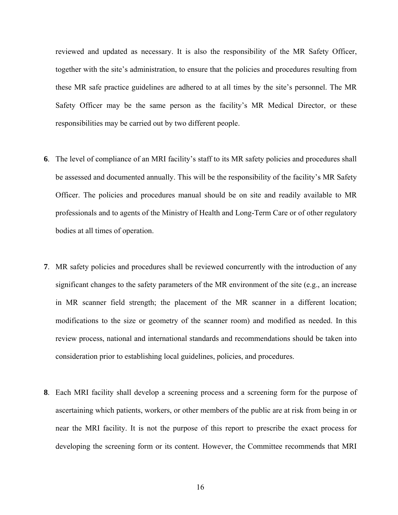reviewed and updated as necessary. It is also the responsibility of the MR Safety Officer, together with the site's administration, to ensure that the policies and procedures resulting from these MR safe practice guidelines are adhered to at all times by the site's personnel. The MR Safety Officer may be the same person as the facility's MR Medical Director, or these responsibilities may be carried out by two different people.

- **6**. The level of compliance of an MRI facility's staff to its MR safety policies and procedures shall be assessed and documented annually. This will be the responsibility of the facility's MR Safety Officer. The policies and procedures manual should be on site and readily available to MR professionals and to agents of the Ministry of Health and Long-Term Care or of other regulatory bodies at all times of operation.
- **7**. MR safety policies and procedures shall be reviewed concurrently with the introduction of any significant changes to the safety parameters of the MR environment of the site (e.g., an increase in MR scanner field strength; the placement of the MR scanner in a different location; modifications to the size or geometry of the scanner room) and modified as needed. In this review process, national and international standards and recommendations should be taken into consideration prior to establishing local guidelines, policies, and procedures.
- **8**. Each MRI facility shall develop a screening process and a screening form for the purpose of ascertaining which patients, workers, or other members of the public are at risk from being in or near the MRI facility. It is not the purpose of this report to prescribe the exact process for developing the screening form or its content. However, the Committee recommends that MRI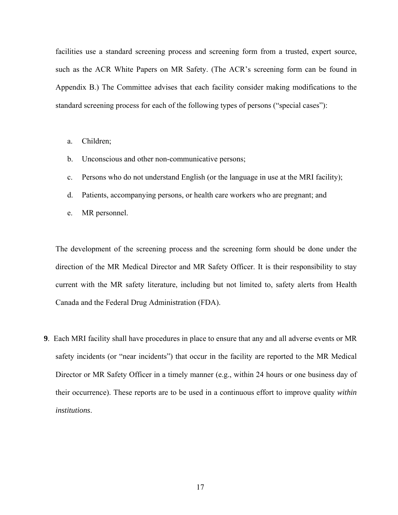facilities use a standard screening process and screening form from a trusted, expert source, such as the ACR White Papers on MR Safety. (The ACR's screening form can be found in Appendix B.) The Committee advises that each facility consider making modifications to the standard screening process for each of the following types of persons ("special cases"):

- a. Children;
- b. Unconscious and other non-communicative persons;
- c. Persons who do not understand English (or the language in use at the MRI facility);
- d. Patients, accompanying persons, or health care workers who are pregnant; and
- e. MR personnel.

The development of the screening process and the screening form should be done under the direction of the MR Medical Director and MR Safety Officer. It is their responsibility to stay current with the MR safety literature, including but not limited to, safety alerts from Health Canada and the Federal Drug Administration (FDA).

**9**. Each MRI facility shall have procedures in place to ensure that any and all adverse events or MR safety incidents (or "near incidents") that occur in the facility are reported to the MR Medical Director or MR Safety Officer in a timely manner (e.g., within 24 hours or one business day of their occurrence). These reports are to be used in a continuous effort to improve quality *within institutions*.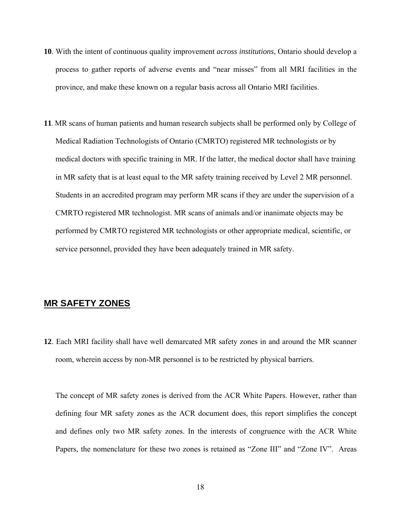- **10**. With the intent of continuous quality improvement *across institutions*, Ontario should develop a process to gather reports of adverse events and "near misses" from all MRI facilities in the province, and make these known on a regular basis across all Ontario MRI facilities.
- **11**. MR scans of human patients and human research subjects shall be performed only by College of Medical Radiation Technologists of Ontario (CMRTO) registered MR technologists or by medical doctors with specific training in MR. If the latter, the medical doctor shall have training in MR safety that is at least equal to the MR safety training received by Level 2 MR personnel. Students in an accredited program may perform MR scans if they are under the supervision of a CMRTO registered MR technologist. MR scans of animals and/or inanimate objects may be performed by CMRTO registered MR technologists or other appropriate medical, scientific, or service personnel, provided they have been adequately trained in MR safety.

### **MR SAFETY ZONES**

**12**. Each MRI facility shall have well demarcated MR safety zones in and around the MR scanner room, wherein access by non-MR personnel is to be restricted by physical barriers.

The concept of MR safety zones is derived from the ACR White Papers. However, rather than defining four MR safety zones as the ACR document does, this report simplifies the concept and defines only two MR safety zones. In the interests of congruence with the ACR White Papers, the nomenclature for these two zones is retained as "Zone III" and "Zone IV". Areas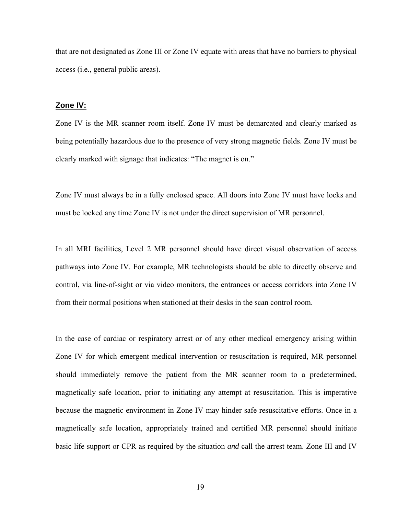that are not designated as Zone III or Zone IV equate with areas that have no barriers to physical access (i.e., general public areas).

### **Zone IV:**

Zone IV is the MR scanner room itself. Zone IV must be demarcated and clearly marked as being potentially hazardous due to the presence of very strong magnetic fields. Zone IV must be clearly marked with signage that indicates: "The magnet is on."

Zone IV must always be in a fully enclosed space. All doors into Zone IV must have locks and must be locked any time Zone IV is not under the direct supervision of MR personnel.

In all MRI facilities, Level 2 MR personnel should have direct visual observation of access pathways into Zone IV. For example, MR technologists should be able to directly observe and control, via line-of-sight or via video monitors, the entrances or access corridors into Zone IV from their normal positions when stationed at their desks in the scan control room.

In the case of cardiac or respiratory arrest or of any other medical emergency arising within Zone IV for which emergent medical intervention or resuscitation is required, MR personnel should immediately remove the patient from the MR scanner room to a predetermined, magnetically safe location, prior to initiating any attempt at resuscitation. This is imperative because the magnetic environment in Zone IV may hinder safe resuscitative efforts. Once in a magnetically safe location, appropriately trained and certified MR personnel should initiate basic life support or CPR as required by the situation *and* call the arrest team. Zone III and IV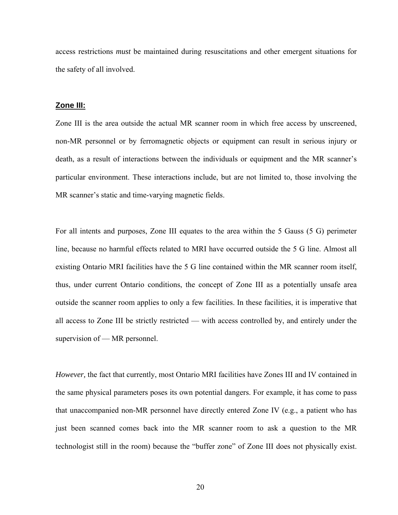access restrictions *must* be maintained during resuscitations and other emergent situations for the safety of all involved.

### **Zone III:**

Zone III is the area outside the actual MR scanner room in which free access by unscreened, non-MR personnel or by ferromagnetic objects or equipment can result in serious injury or death, as a result of interactions between the individuals or equipment and the MR scanner's particular environment. These interactions include, but are not limited to, those involving the MR scanner's static and time-varying magnetic fields.

For all intents and purposes, Zone III equates to the area within the 5 Gauss (5 G) perimeter line, because no harmful effects related to MRI have occurred outside the 5 G line. Almost all existing Ontario MRI facilities have the 5 G line contained within the MR scanner room itself, thus, under current Ontario conditions, the concept of Zone III as a potentially unsafe area outside the scanner room applies to only a few facilities. In these facilities, it is imperative that all access to Zone III be strictly restricted — with access controlled by, and entirely under the supervision of — MR personnel.

*However,* the fact that currently, most Ontario MRI facilities have Zones III and IV contained in the same physical parameters poses its own potential dangers. For example, it has come to pass that unaccompanied non-MR personnel have directly entered Zone IV (e.g., a patient who has just been scanned comes back into the MR scanner room to ask a question to the MR technologist still in the room) because the "buffer zone" of Zone III does not physically exist.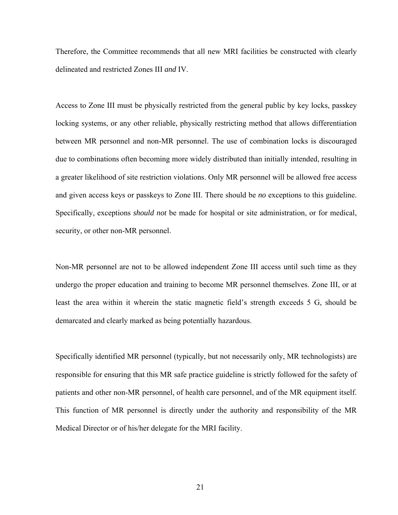Therefore, the Committee recommends that all new MRI facilities be constructed with clearly delineated and restricted Zones III *and* IV.

Access to Zone III must be physically restricted from the general public by key locks, passkey locking systems, or any other reliable, physically restricting method that allows differentiation between MR personnel and non-MR personnel. The use of combination locks is discouraged due to combinations often becoming more widely distributed than initially intended, resulting in a greater likelihood of site restriction violations. Only MR personnel will be allowed free access and given access keys or passkeys to Zone III. There should be *no* exceptions to this guideline. Specifically, exceptions *should not* be made for hospital or site administration, or for medical, security, or other non-MR personnel.

Non-MR personnel are not to be allowed independent Zone III access until such time as they undergo the proper education and training to become MR personnel themselves. Zone III, or at least the area within it wherein the static magnetic field's strength exceeds 5 G, should be demarcated and clearly marked as being potentially hazardous.

Specifically identified MR personnel (typically, but not necessarily only, MR technologists) are responsible for ensuring that this MR safe practice guideline is strictly followed for the safety of patients and other non-MR personnel, of health care personnel, and of the MR equipment itself. This function of MR personnel is directly under the authority and responsibility of the MR Medical Director or of his/her delegate for the MRI facility.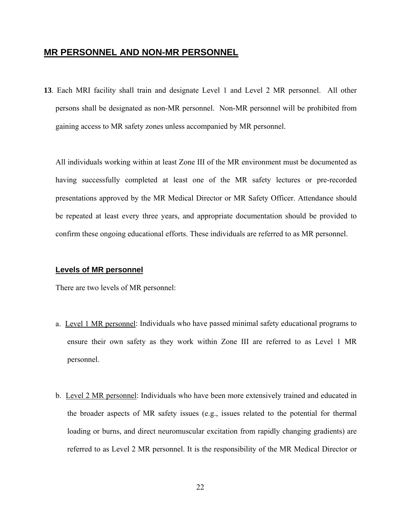### **MR PERSONNEL AND NON-MR PERSONNEL**

**13**. Each MRI facility shall train and designate Level 1 and Level 2 MR personnel. All other persons shall be designated as non-MR personnel. Non-MR personnel will be prohibited from gaining access to MR safety zones unless accompanied by MR personnel.

All individuals working within at least Zone III of the MR environment must be documented as having successfully completed at least one of the MR safety lectures or pre-recorded presentations approved by the MR Medical Director or MR Safety Officer. Attendance should be repeated at least every three years, and appropriate documentation should be provided to confirm these ongoing educational efforts. These individuals are referred to as MR personnel.

### **Levels of MR personnel**

There are two levels of MR personnel:

- a. Level 1 MR personnel: Individuals who have passed minimal safety educational programs to ensure their own safety as they work within Zone III are referred to as Level 1 MR personnel.
- b. Level 2 MR personnel: Individuals who have been more extensively trained and educated in the broader aspects of MR safety issues (e.g., issues related to the potential for thermal loading or burns, and direct neuromuscular excitation from rapidly changing gradients) are referred to as Level 2 MR personnel. It is the responsibility of the MR Medical Director or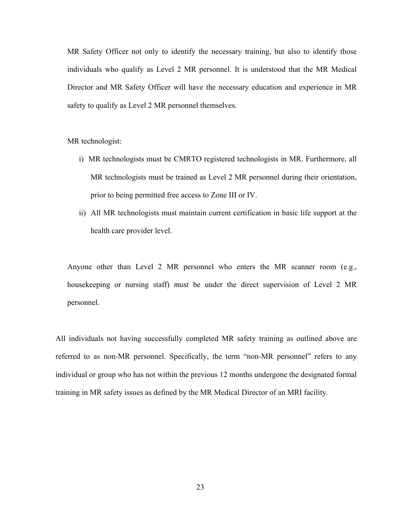MR Safety Officer not only to identify the necessary training, but also to identify those individuals who qualify as Level 2 MR personnel. It is understood that the MR Medical Director and MR Safety Officer will have the necessary education and experience in MR safety to qualify as Level 2 MR personnel themselves.

MR technologist:

- i) MR technologists must be CMRTO registered technologists in MR. Furthermore, all MR technologists must be trained as Level 2 MR personnel during their orientation, prior to being permitted free access to Zone III or IV.
- ii) All MR technologists must maintain current certification in basic life support at the health care provider level.

Anyone other than Level 2 MR personnel who enters the MR scanner room (e.g., housekeeping or nursing staff) *must* be under the direct supervision of Level 2 MR personnel.

All individuals not having successfully completed MR safety training as outlined above are referred to as non-MR personnel. Specifically, the term "non-MR personnel" refers to any individual or group who has not within the previous 12 months undergone the designated formal training in MR safety issues as defined by the MR Medical Director of an MRI facility.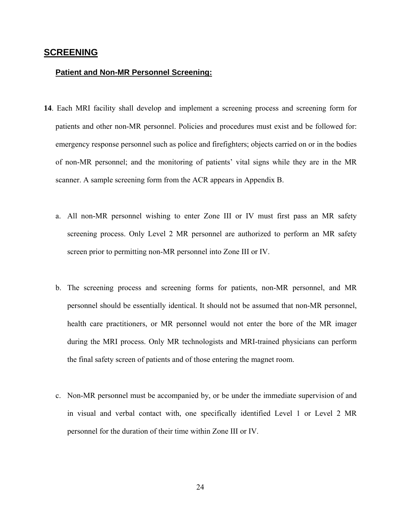### **SCREENING**

### **Patient and Non-MR Personnel Screening:**

- **14**. Each MRI facility shall develop and implement a screening process and screening form for patients and other non-MR personnel. Policies and procedures must exist and be followed for: emergency response personnel such as police and firefighters; objects carried on or in the bodies of non-MR personnel; and the monitoring of patients' vital signs while they are in the MR scanner. A sample screening form from the ACR appears in Appendix B.
	- a. All non-MR personnel wishing to enter Zone III or IV must first pass an MR safety screening process. Only Level 2 MR personnel are authorized to perform an MR safety screen prior to permitting non-MR personnel into Zone III or IV.
	- b. The screening process and screening forms for patients, non-MR personnel, and MR personnel should be essentially identical. It should not be assumed that non-MR personnel, health care practitioners, or MR personnel would not enter the bore of the MR imager during the MRI process. Only MR technologists and MRI-trained physicians can perform the final safety screen of patients and of those entering the magnet room.
	- c. Non-MR personnel must be accompanied by, or be under the immediate supervision of and in visual and verbal contact with, one specifically identified Level 1 or Level 2 MR personnel for the duration of their time within Zone III or IV.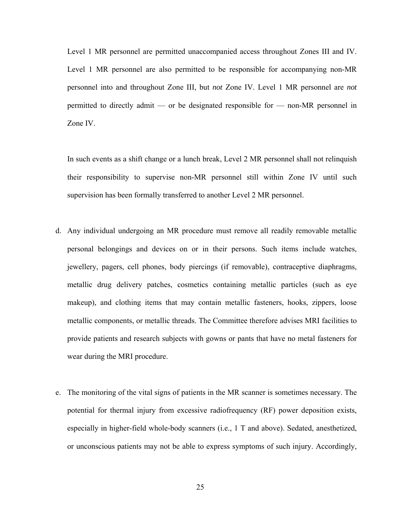Level 1 MR personnel are permitted unaccompanied access throughout Zones III and IV. Level 1 MR personnel are also permitted to be responsible for accompanying non-MR personnel into and throughout Zone III, but *not* Zone IV. Level 1 MR personnel are *not*  permitted to directly admit — or be designated responsible for — non-MR personnel in Zone IV.

In such events as a shift change or a lunch break, Level 2 MR personnel shall not relinquish their responsibility to supervise non-MR personnel still within Zone IV until such supervision has been formally transferred to another Level 2 MR personnel.

- d. Any individual undergoing an MR procedure must remove all readily removable metallic personal belongings and devices on or in their persons. Such items include watches, jewellery, pagers, cell phones, body piercings (if removable), contraceptive diaphragms, metallic drug delivery patches, cosmetics containing metallic particles (such as eye makeup), and clothing items that may contain metallic fasteners, hooks, zippers, loose metallic components, or metallic threads. The Committee therefore advises MRI facilities to provide patients and research subjects with gowns or pants that have no metal fasteners for wear during the MRI procedure.
- e. The monitoring of the vital signs of patients in the MR scanner is sometimes necessary. The potential for thermal injury from excessive radiofrequency (RF) power deposition exists, especially in higher-field whole-body scanners (i.e., 1 T and above). Sedated, anesthetized, or unconscious patients may not be able to express symptoms of such injury. Accordingly,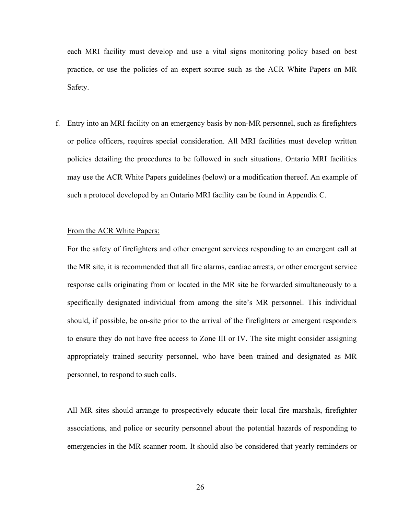each MRI facility must develop and use a vital signs monitoring policy based on best practice, or use the policies of an expert source such as the ACR White Papers on MR Safety.

f. Entry into an MRI facility on an emergency basis by non-MR personnel, such as firefighters or police officers, requires special consideration. All MRI facilities must develop written policies detailing the procedures to be followed in such situations. Ontario MRI facilities may use the ACR White Papers guidelines (below) or a modification thereof. An example of such a protocol developed by an Ontario MRI facility can be found in Appendix C.

### From the ACR White Papers:

For the safety of firefighters and other emergent services responding to an emergent call at the MR site, it is recommended that all fire alarms, cardiac arrests, or other emergent service response calls originating from or located in the MR site be forwarded simultaneously to a specifically designated individual from among the site's MR personnel. This individual should, if possible, be on-site prior to the arrival of the firefighters or emergent responders to ensure they do not have free access to Zone III or IV. The site might consider assigning appropriately trained security personnel, who have been trained and designated as MR personnel, to respond to such calls.

All MR sites should arrange to prospectively educate their local fire marshals, firefighter associations, and police or security personnel about the potential hazards of responding to emergencies in the MR scanner room. It should also be considered that yearly reminders or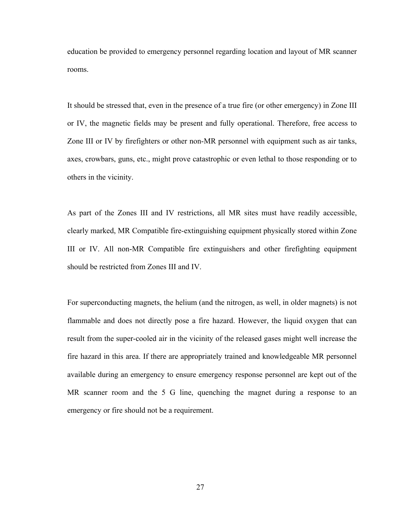education be provided to emergency personnel regarding location and layout of MR scanner rooms.

It should be stressed that, even in the presence of a true fire (or other emergency) in Zone III or IV, the magnetic fields may be present and fully operational. Therefore, free access to Zone III or IV by firefighters or other non-MR personnel with equipment such as air tanks, axes, crowbars, guns, etc., might prove catastrophic or even lethal to those responding or to others in the vicinity.

As part of the Zones III and IV restrictions, all MR sites must have readily accessible, clearly marked, MR Compatible fire-extinguishing equipment physically stored within Zone III or IV. All non-MR Compatible fire extinguishers and other firefighting equipment should be restricted from Zones III and IV.

For superconducting magnets, the helium (and the nitrogen, as well, in older magnets) is not flammable and does not directly pose a fire hazard. However, the liquid oxygen that can result from the super-cooled air in the vicinity of the released gases might well increase the fire hazard in this area. If there are appropriately trained and knowledgeable MR personnel available during an emergency to ensure emergency response personnel are kept out of the MR scanner room and the 5 G line, quenching the magnet during a response to an emergency or fire should not be a requirement.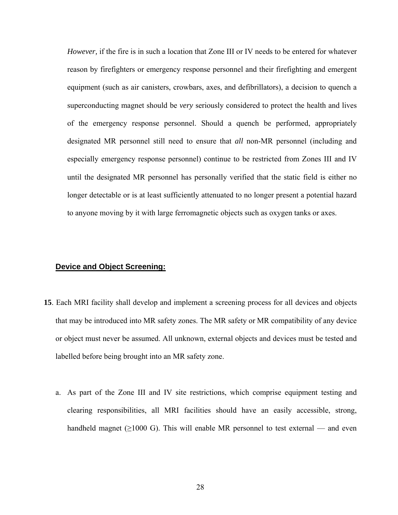*However,* if the fire is in such a location that Zone III or IV needs to be entered for whatever reason by firefighters or emergency response personnel and their firefighting and emergent equipment (such as air canisters, crowbars, axes, and defibrillators), a decision to quench a superconducting magnet should be *very* seriously considered to protect the health and lives of the emergency response personnel. Should a quench be performed, appropriately designated MR personnel still need to ensure that *all* non-MR personnel (including and especially emergency response personnel) continue to be restricted from Zones III and IV until the designated MR personnel has personally verified that the static field is either no longer detectable or is at least sufficiently attenuated to no longer present a potential hazard to anyone moving by it with large ferromagnetic objects such as oxygen tanks or axes.

### **Device and Object Screening:**

- **15**. Each MRI facility shall develop and implement a screening process for all devices and objects that may be introduced into MR safety zones. The MR safety or MR compatibility of any device or object must never be assumed. All unknown, external objects and devices must be tested and labelled before being brought into an MR safety zone.
	- a. As part of the Zone III and IV site restrictions, which comprise equipment testing and clearing responsibilities, all MRI facilities should have an easily accessible, strong, handheld magnet ( $\geq 1000$  G). This will enable MR personnel to test external — and even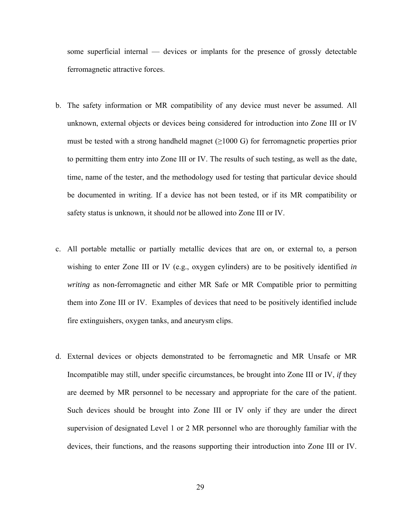some superficial internal — devices or implants for the presence of grossly detectable ferromagnetic attractive forces.

- b. The safety information or MR compatibility of any device must never be assumed. All unknown, external objects or devices being considered for introduction into Zone III or IV must be tested with a strong handheld magnet  $(\geq 1000 \text{ G})$  for ferromagnetic properties prior to permitting them entry into Zone III or IV. The results of such testing, as well as the date, time, name of the tester, and the methodology used for testing that particular device should be documented in writing. If a device has not been tested, or if its MR compatibility or safety status is unknown, it should *not* be allowed into Zone III or IV.
- c. All portable metallic or partially metallic devices that are on, or external to, a person wishing to enter Zone III or IV (e.g., oxygen cylinders) are to be positively identified *in writing* as non-ferromagnetic and either MR Safe or MR Compatible prior to permitting them into Zone III or IV. Examples of devices that need to be positively identified include fire extinguishers, oxygen tanks, and aneurysm clips.
- d. External devices or objects demonstrated to be ferromagnetic and MR Unsafe or MR Incompatible may still, under specific circumstances, be brought into Zone III or IV, *if* they are deemed by MR personnel to be necessary and appropriate for the care of the patient. Such devices should be brought into Zone III or IV only if they are under the direct supervision of designated Level 1 or 2 MR personnel who are thoroughly familiar with the devices, their functions, and the reasons supporting their introduction into Zone III or IV.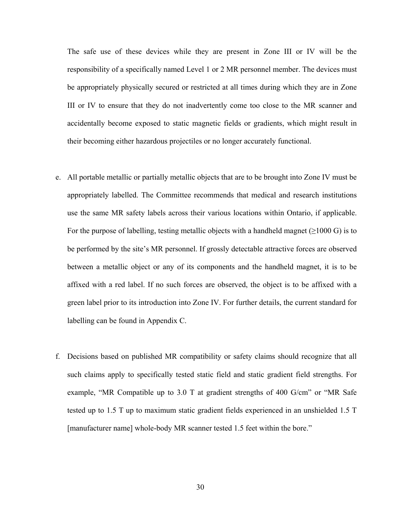The safe use of these devices while they are present in Zone III or IV will be the responsibility of a specifically named Level 1 or 2 MR personnel member. The devices must be appropriately physically secured or restricted at all times during which they are in Zone III or IV to ensure that they do not inadvertently come too close to the MR scanner and accidentally become exposed to static magnetic fields or gradients, which might result in their becoming either hazardous projectiles or no longer accurately functional.

- e. All portable metallic or partially metallic objects that are to be brought into Zone IV must be appropriately labelled. The Committee recommends that medical and research institutions use the same MR safety labels across their various locations within Ontario, if applicable. For the purpose of labelling, testing metallic objects with a handheld magnet ( $\geq 1000 \text{ G}$ ) is to be performed by the site's MR personnel. If grossly detectable attractive forces are observed between a metallic object or any of its components and the handheld magnet, it is to be affixed with a red label. If no such forces are observed, the object is to be affixed with a green label prior to its introduction into Zone IV. For further details, the current standard for labelling can be found in Appendix C.
- f. Decisions based on published MR compatibility or safety claims should recognize that all such claims apply to specifically tested static field and static gradient field strengths. For example, "MR Compatible up to 3.0 T at gradient strengths of 400 G/cm" or "MR Safe tested up to 1.5 T up to maximum static gradient fields experienced in an unshielded 1.5 T [manufacturer name] whole-body MR scanner tested 1.5 feet within the bore."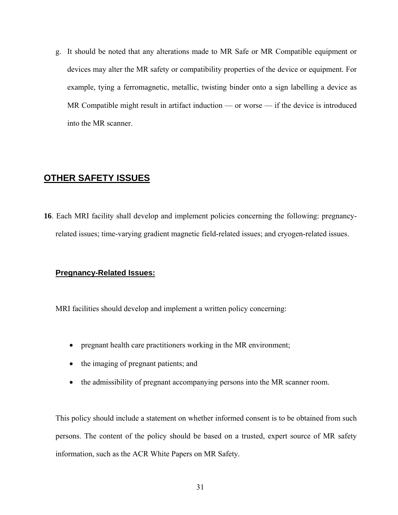g. It should be noted that any alterations made to MR Safe or MR Compatible equipment or devices may alter the MR safety or compatibility properties of the device or equipment. For example, tying a ferromagnetic, metallic, twisting binder onto a sign labelling a device as MR Compatible might result in artifact induction — or worse — if the device is introduced into the MR scanner.

### **OTHER SAFETY ISSUES**

**16**. Each MRI facility shall develop and implement policies concerning the following: pregnancyrelated issues; time-varying gradient magnetic field-related issues; and cryogen-related issues.

### **Pregnancy-Related Issues:**

MRI facilities should develop and implement a written policy concerning:

- pregnant health care practitioners working in the MR environment;
- the imaging of pregnant patients; and
- the admissibility of pregnant accompanying persons into the MR scanner room.

This policy should include a statement on whether informed consent is to be obtained from such persons. The content of the policy should be based on a trusted, expert source of MR safety information, such as the ACR White Papers on MR Safety.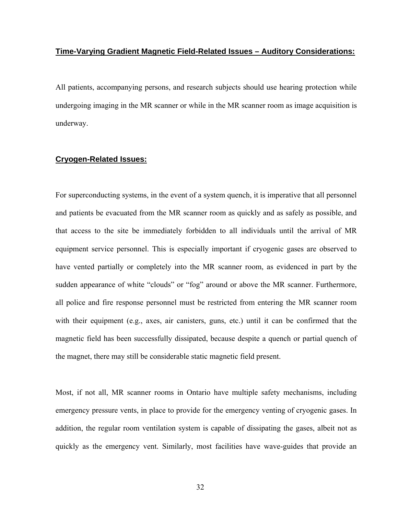### **Time-Varying Gradient Magnetic Field-Related Issues – Auditory Considerations:**

All patients, accompanying persons, and research subjects should use hearing protection while undergoing imaging in the MR scanner or while in the MR scanner room as image acquisition is underway.

### **Cryogen-Related Issues:**

For superconducting systems, in the event of a system quench, it is imperative that all personnel and patients be evacuated from the MR scanner room as quickly and as safely as possible, and that access to the site be immediately forbidden to all individuals until the arrival of MR equipment service personnel. This is especially important if cryogenic gases are observed to have vented partially or completely into the MR scanner room, as evidenced in part by the sudden appearance of white "clouds" or "fog" around or above the MR scanner. Furthermore, all police and fire response personnel must be restricted from entering the MR scanner room with their equipment (e.g., axes, air canisters, guns, etc.) until it can be confirmed that the magnetic field has been successfully dissipated, because despite a quench or partial quench of the magnet, there may still be considerable static magnetic field present.

Most, if not all, MR scanner rooms in Ontario have multiple safety mechanisms, including emergency pressure vents, in place to provide for the emergency venting of cryogenic gases. In addition, the regular room ventilation system is capable of dissipating the gases, albeit not as quickly as the emergency vent. Similarly, most facilities have wave-guides that provide an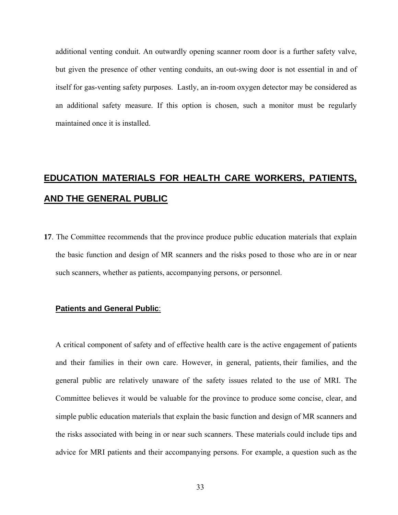additional venting conduit. An outwardly opening scanner room door is a further safety valve, but given the presence of other venting conduits, an out-swing door is not essential in and of itself for gas-venting safety purposes. Lastly, an in-room oxygen detector may be considered as an additional safety measure. If this option is chosen, such a monitor must be regularly maintained once it is installed.

# **EDUCATION MATERIALS FOR HEALTH CARE WORKERS, PATIENTS, AND THE GENERAL PUBLIC**

**17**. The Committee recommends that the province produce public education materials that explain the basic function and design of MR scanners and the risks posed to those who are in or near such scanners, whether as patients, accompanying persons, or personnel.

### **Patients and General Public**:

A critical component of safety and of effective health care is the active engagement of patients and their families in their own care. However, in general, patients, their families, and the general public are relatively unaware of the safety issues related to the use of MRI. The Committee believes it would be valuable for the province to produce some concise, clear, and simple public education materials that explain the basic function and design of MR scanners and the risks associated with being in or near such scanners. These materials could include tips and advice for MRI patients and their accompanying persons. For example, a question such as the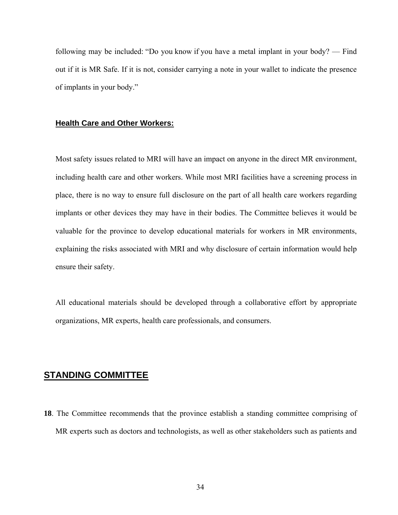following may be included: "Do you know if you have a metal implant in your body? — Find out if it is MR Safe. If it is not, consider carrying a note in your wallet to indicate the presence of implants in your body."

#### **Health Care and Other Workers:**

Most safety issues related to MRI will have an impact on anyone in the direct MR environment, including health care and other workers. While most MRI facilities have a screening process in place, there is no way to ensure full disclosure on the part of all health care workers regarding implants or other devices they may have in their bodies. The Committee believes it would be valuable for the province to develop educational materials for workers in MR environments, explaining the risks associated with MRI and why disclosure of certain information would help ensure their safety.

All educational materials should be developed through a collaborative effort by appropriate organizations, MR experts, health care professionals, and consumers.

### **STANDING COMMITTEE**

**18**. The Committee recommends that the province establish a standing committee comprising of MR experts such as doctors and technologists, as well as other stakeholders such as patients and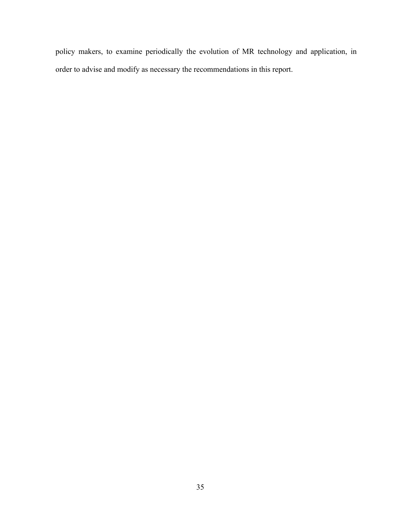policy makers, to examine periodically the evolution of MR technology and application, in order to advise and modify as necessary the recommendations in this report.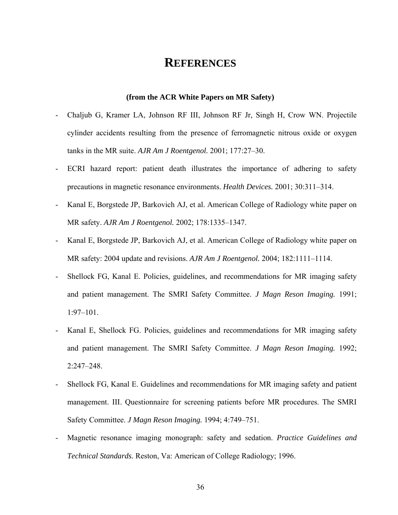### **REFERENCES**

#### **(from the ACR White Papers on MR Safety)**

- Chaljub G, Kramer LA, Johnson RF III, Johnson RF Jr, Singh H, Crow WN. Projectile cylinder accidents resulting from the presence of ferromagnetic nitrous oxide or oxygen tanks in the MR suite. *AJR Am J Roentgenol.* 2001; 177:27–30.
- ECRI hazard report: patient death illustrates the importance of adhering to safety precautions in magnetic resonance environments. *Health Devices.* 2001; 30:311–314.
- Kanal E, Borgstede JP, Barkovich AJ, et al. American College of Radiology white paper on MR safety. *AJR Am J Roentgenol.* 2002; 178:1335–1347.
- Kanal E, Borgstede JP, Barkovich AJ, et al. American College of Radiology white paper on MR safety: 2004 update and revisions. *AJR Am J Roentgenol.* 2004; 182:1111–1114.
- Shellock FG, Kanal E. Policies, guidelines, and recommendations for MR imaging safety and patient management. The SMRI Safety Committee. *J Magn Reson Imaging.* 1991; 1:97–101.
- Kanal E, Shellock FG. Policies, guidelines and recommendations for MR imaging safety and patient management. The SMRI Safety Committee. *J Magn Reson Imaging.* 1992; 2:247–248.
- Shellock FG, Kanal E. Guidelines and recommendations for MR imaging safety and patient management. III. Questionnaire for screening patients before MR procedures. The SMRI Safety Committee. *J Magn Reson Imaging.* 1994; 4:749–751.
- Magnetic resonance imaging monograph: safety and sedation. *Practice Guidelines and Technical Standards.* Reston, Va: American of College Radiology; 1996.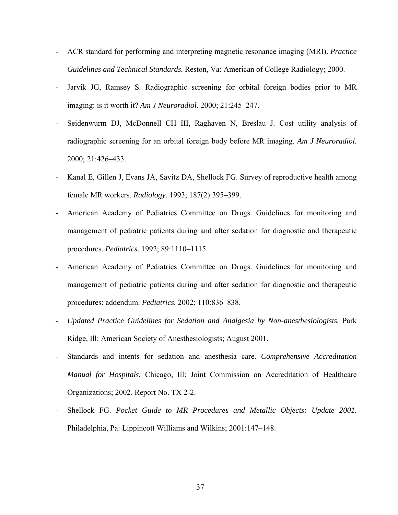- ACR standard for performing and interpreting magnetic resonance imaging (MRI). *Practice Guidelines and Technical Standards.* Reston, Va: American of College Radiology; 2000.
- Jarvik JG, Ramsey S. Radiographic screening for orbital foreign bodies prior to MR imaging: is it worth it? *Am J Neuroradiol.* 2000; 21:245–247.
- Seidenwurm DJ, McDonnell CH III, Raghaven N, Breslau J. Cost utility analysis of radiographic screening for an orbital foreign body before MR imaging. *Am J Neuroradiol.*  2000; 21:426–433.
- Kanal E, Gillen J, Evans JA, Savitz DA, Shellock FG. Survey of reproductive health among female MR workers. *Radiology.* 1993; 187(2):395–399.
- American Academy of Pediatrics Committee on Drugs. Guidelines for monitoring and management of pediatric patients during and after sedation for diagnostic and therapeutic procedures. *Pediatrics.* 1992; 89:1110–1115.
- American Academy of Pediatrics Committee on Drugs. Guidelines for monitoring and management of pediatric patients during and after sedation for diagnostic and therapeutic procedures: addendum. *Pediatrics.* 2002; 110:836–838.
- *Updated Practice Guidelines for Sedation and Analgesia by Non-anesthesiologists.* Park Ridge, Ill: American Society of Anesthesiologists; August 2001.
- Standards and intents for sedation and anesthesia care. *Comprehensive Accreditation Manual for Hospitals.* Chicago, Ill: Joint Commission on Accreditation of Healthcare Organizations; 2002. Report No. TX 2-2.
- Shellock FG. Pocket Guide to MR Procedures and Metallic Objects: Update 2001. Philadelphia, Pa: Lippincott Williams and Wilkins; 2001:147–148.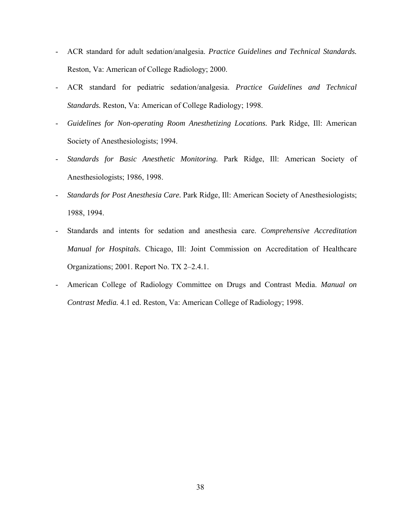- ACR standard for adult sedation/analgesia. *Practice Guidelines and Technical Standards.*  Reston, Va: American of College Radiology; 2000.
- ACR standard for pediatric sedation/analgesia. *Practice Guidelines and Technical Standards.* Reston, Va: American of College Radiology; 1998.
- *Guidelines for Non-operating Room Anesthetizing Locations.* Park Ridge, Ill: American Society of Anesthesiologists; 1994.
- *Standards for Basic Anesthetic Monitoring.* Park Ridge, Ill: American Society of Anesthesiologists; 1986, 1998.
- *Standards for Post Anesthesia Care.* Park Ridge, Ill: American Society of Anesthesiologists; 1988, 1994.
- Standards and intents for sedation and anesthesia care. *Comprehensive Accreditation Manual for Hospitals.* Chicago, Ill: Joint Commission on Accreditation of Healthcare Organizations; 2001. Report No. TX 2–2.4.1.
- American College of Radiology Committee on Drugs and Contrast Media. *Manual on Contrast Media.* 4.1 ed. Reston, Va: American College of Radiology; 1998.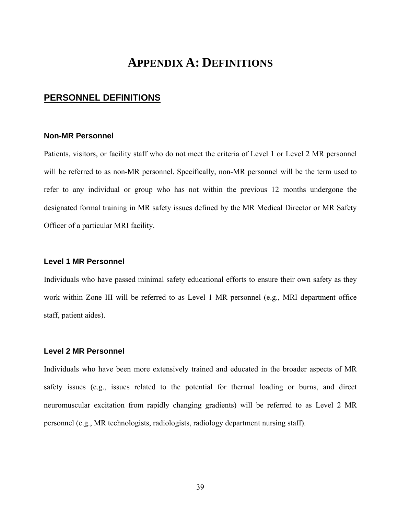# **APPENDIX A: DEFINITIONS**

### **PERSONNEL DEFINITIONS**

### **Non-MR Personnel**

Patients, visitors, or facility staff who do not meet the criteria of Level 1 or Level 2 MR personnel will be referred to as non-MR personnel. Specifically, non-MR personnel will be the term used to refer to any individual or group who has not within the previous 12 months undergone the designated formal training in MR safety issues defined by the MR Medical Director or MR Safety Officer of a particular MRI facility.

### **Level 1 MR Personnel**

Individuals who have passed minimal safety educational efforts to ensure their own safety as they work within Zone III will be referred to as Level 1 MR personnel (e.g., MRI department office staff, patient aides).

### **Level 2 MR Personnel**

Individuals who have been more extensively trained and educated in the broader aspects of MR safety issues (e.g., issues related to the potential for thermal loading or burns, and direct neuromuscular excitation from rapidly changing gradients) will be referred to as Level 2 MR personnel (e.g., MR technologists, radiologists, radiology department nursing staff).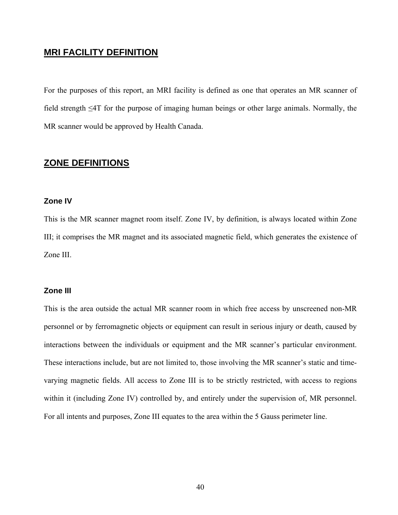### **MRI FACILITY DEFINITION**

For the purposes of this report, an MRI facility is defined as one that operates an MR scanner of field strength ≤4T for the purpose of imaging human beings or other large animals. Normally, the MR scanner would be approved by Health Canada.

### **ZONE DEFINITIONS**

### **Zone IV**

This is the MR scanner magnet room itself. Zone IV, by definition, is always located within Zone III; it comprises the MR magnet and its associated magnetic field, which generates the existence of Zone III.

### **Zone III**

This is the area outside the actual MR scanner room in which free access by unscreened non-MR personnel or by ferromagnetic objects or equipment can result in serious injury or death, caused by interactions between the individuals or equipment and the MR scanner's particular environment. These interactions include, but are not limited to, those involving the MR scanner's static and timevarying magnetic fields. All access to Zone III is to be strictly restricted, with access to regions within it (including Zone IV) controlled by, and entirely under the supervision of, MR personnel. For all intents and purposes, Zone III equates to the area within the 5 Gauss perimeter line.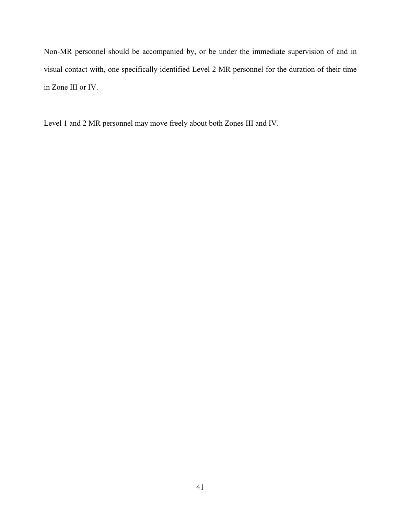Non-MR personnel should be accompanied by, or be under the immediate supervision of and in visual contact with, one specifically identified Level 2 MR personnel for the duration of their time in Zone III or IV.

Level 1 and 2 MR personnel may move freely about both Zones III and IV.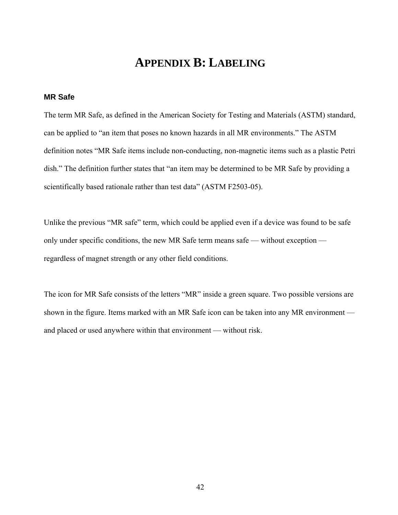# **APPENDIX B: LABELING**

### **MR Safe**

The term MR Safe, as defined in the American Society for Testing and Materials (ASTM) standard, can be applied to "an item that poses no known hazards in all MR environments." The ASTM definition notes "MR Safe items include non-conducting, non-magnetic items such as a plastic Petri dish." The definition further states that "an item may be determined to be MR Safe by providing a scientifically based rationale rather than test data" (ASTM F2503-05).

Unlike the previous "MR safe" term, which could be applied even if a device was found to be safe only under specific conditions, the new MR Safe term means safe — without exception regardless of magnet strength or any other field conditions.

The icon for MR Safe consists of the letters "MR" inside a green square. Two possible versions are shown in the figure. Items marked with an MR Safe icon can be taken into any MR environment and placed or used anywhere within that environment — without risk.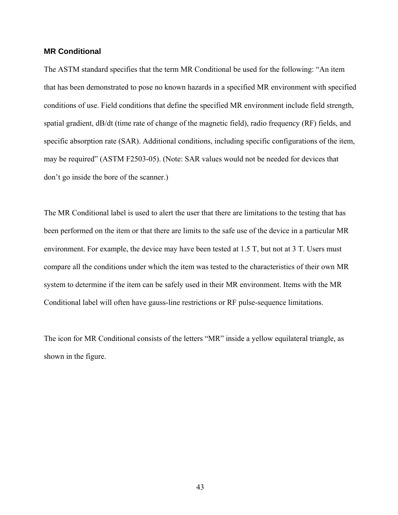### **MR Conditional**

The ASTM standard specifies that the term MR Conditional be used for the following: "An item that has been demonstrated to pose no known hazards in a specified MR environment with specified conditions of use. Field conditions that define the specified MR environment include field strength, spatial gradient, dB/dt (time rate of change of the magnetic field), radio frequency (RF) fields, and specific absorption rate (SAR). Additional conditions, including specific configurations of the item, may be required" (ASTM F2503-05). (Note: SAR values would not be needed for devices that don't go inside the bore of the scanner.)

The MR Conditional label is used to alert the user that there are limitations to the testing that has been performed on the item or that there are limits to the safe use of the device in a particular MR environment. For example, the device may have been tested at 1.5 T, but not at 3 T. Users must compare all the conditions under which the item was tested to the characteristics of their own MR system to determine if the item can be safely used in their MR environment. Items with the MR Conditional label will often have gauss-line restrictions or RF pulse-sequence limitations.

The icon for MR Conditional consists of the letters "MR" inside a yellow equilateral triangle, as shown in the figure.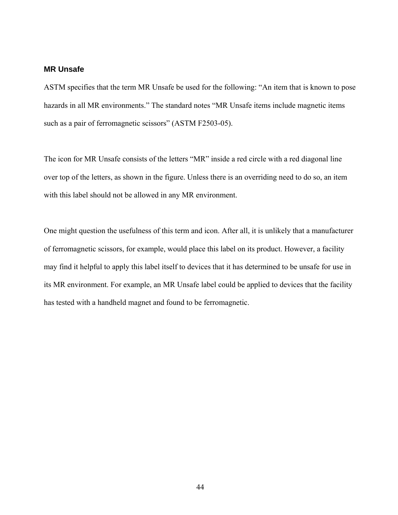### **MR Unsafe**

ASTM specifies that the term MR Unsafe be used for the following: "An item that is known to pose hazards in all MR environments." The standard notes "MR Unsafe items include magnetic items such as a pair of ferromagnetic scissors" (ASTM F2503-05).

The icon for MR Unsafe consists of the letters "MR" inside a red circle with a red diagonal line over top of the letters, as shown in the figure. Unless there is an overriding need to do so, an item with this label should not be allowed in any MR environment.

One might question the usefulness of this term and icon. After all, it is unlikely that a manufacturer of ferromagnetic scissors, for example, would place this label on its product. However, a facility may find it helpful to apply this label itself to devices that it has determined to be unsafe for use in its MR environment. For example, an MR Unsafe label could be applied to devices that the facility has tested with a handheld magnet and found to be ferromagnetic.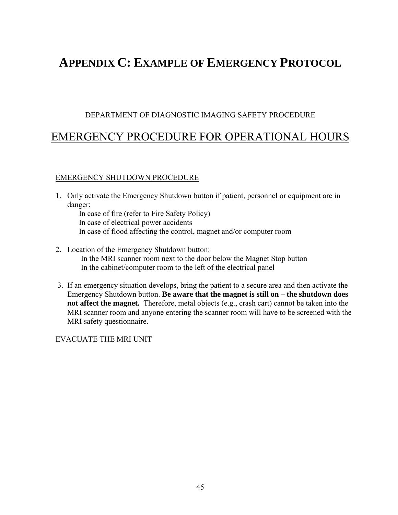# **APPENDIX C: EXAMPLE OF EMERGENCY PROTOCOL**

### DEPARTMENT OF DIAGNOSTIC IMAGING SAFETY PROCEDURE

### EMERGENCY PROCEDURE FOR OPERATIONAL HOURS

### EMERGENCY SHUTDOWN PROCEDURE

- 1. Only activate the Emergency Shutdown button if patient, personnel or equipment are in danger:
	- In case of fire (refer to Fire Safety Policy) In case of electrical power accidents In case of flood affecting the control, magnet and/or computer room
- 2. Location of the Emergency Shutdown button: In the MRI scanner room next to the door below the Magnet Stop button In the cabinet/computer room to the left of the electrical panel
- 3. If an emergency situation develops, bring the patient to a secure area and then activate the Emergency Shutdown button. **Be aware that the magnet is still on – the shutdown does not affect the magnet.** Therefore, metal objects (e.g., crash cart) cannot be taken into the MRI scanner room and anyone entering the scanner room will have to be screened with the MRI safety questionnaire.

EVACUATE THE MRI UNIT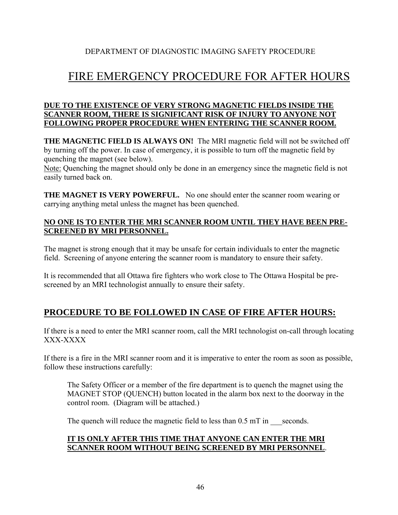### DEPARTMENT OF DIAGNOSTIC IMAGING SAFETY PROCEDURE

# FIRE EMERGENCY PROCEDURE FOR AFTER HOURS

### **DUE TO THE EXISTENCE OF VERY STRONG MAGNETIC FIELDS INSIDE THE SCANNER ROOM, THERE IS SIGNIFICANT RISK OF INJURY TO ANYONE NOT FOLLOWING PROPER PROCEDURE WHEN ENTERING THE SCANNER ROOM.**

**THE MAGNETIC FIELD IS ALWAYS ON!** The MRI magnetic field will not be switched off by turning off the power. In case of emergency, it is possible to turn off the magnetic field by quenching the magnet (see below).

Note: Quenching the magnet should only be done in an emergency since the magnetic field is not easily turned back on.

**THE MAGNET IS VERY POWERFUL.** No one should enter the scanner room wearing or carrying anything metal unless the magnet has been quenched.

### **NO ONE IS TO ENTER THE MRI SCANNER ROOM UNTIL THEY HAVE BEEN PRE-SCREENED BY MRI PERSONNEL.**

The magnet is strong enough that it may be unsafe for certain individuals to enter the magnetic field. Screening of anyone entering the scanner room is mandatory to ensure their safety.

It is recommended that all Ottawa fire fighters who work close to The Ottawa Hospital be prescreened by an MRI technologist annually to ensure their safety.

### **PROCEDURE TO BE FOLLOWED IN CASE OF FIRE AFTER HOURS:**

If there is a need to enter the MRI scanner room, call the MRI technologist on-call through locating XXX-XXXX

If there is a fire in the MRI scanner room and it is imperative to enter the room as soon as possible, follow these instructions carefully:

The Safety Officer or a member of the fire department is to quench the magnet using the MAGNET STOP (QUENCH) button located in the alarm box next to the doorway in the control room. (Diagram will be attached.)

The quench will reduce the magnetic field to less than  $0.5$  mT in seconds.

### **IT IS ONLY AFTER THIS TIME THAT ANYONE CAN ENTER THE MRI SCANNER ROOM WITHOUT BEING SCREENED BY MRI PERSONNEL**.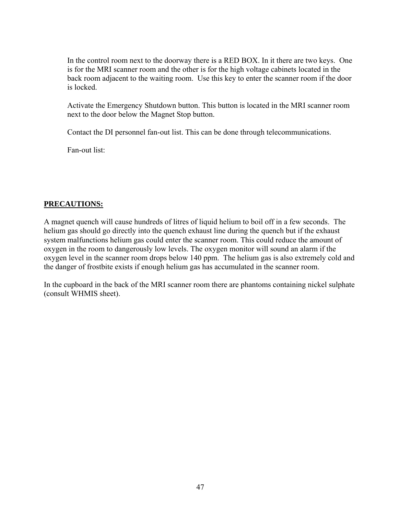In the control room next to the doorway there is a RED BOX. In it there are two keys. One is for the MRI scanner room and the other is for the high voltage cabinets located in the back room adjacent to the waiting room. Use this key to enter the scanner room if the door is locked.

Activate the Emergency Shutdown button. This button is located in the MRI scanner room next to the door below the Magnet Stop button.

Contact the DI personnel fan-out list. This can be done through telecommunications.

Fan-out list:

### **PRECAUTIONS:**

A magnet quench will cause hundreds of litres of liquid helium to boil off in a few seconds. The helium gas should go directly into the quench exhaust line during the quench but if the exhaust system malfunctions helium gas could enter the scanner room. This could reduce the amount of oxygen in the room to dangerously low levels. The oxygen monitor will sound an alarm if the oxygen level in the scanner room drops below 140 ppm. The helium gas is also extremely cold and the danger of frostbite exists if enough helium gas has accumulated in the scanner room.

In the cupboard in the back of the MRI scanner room there are phantoms containing nickel sulphate (consult WHMIS sheet).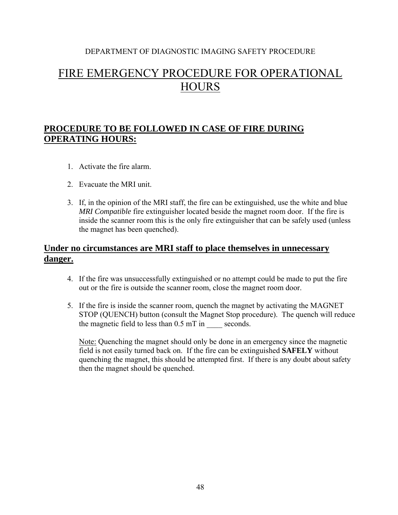### DEPARTMENT OF DIAGNOSTIC IMAGING SAFETY PROCEDURE

# FIRE EMERGENCY PROCEDURE FOR OPERATIONAL **HOURS**

### **PROCEDURE TO BE FOLLOWED IN CASE OF FIRE DURING OPERATING HOURS:**

- 1. Activate the fire alarm.
- 2. Evacuate the MRI unit.
- 3. If, in the opinion of the MRI staff, the fire can be extinguished, use the white and blue *MRI Compatible* fire extinguisher located beside the magnet room door. If the fire is inside the scanner room this is the only fire extinguisher that can be safely used (unless the magnet has been quenched).

### **Under no circumstances are MRI staff to place themselves in unnecessary danger.**

- 4. If the fire was unsuccessfully extinguished or no attempt could be made to put the fire out or the fire is outside the scanner room, close the magnet room door.
- 5. If the fire is inside the scanner room, quench the magnet by activating the MAGNET STOP (QUENCH) button (consult the Magnet Stop procedure). The quench will reduce the magnetic field to less than  $0.5$  mT in seconds.

Note: Quenching the magnet should only be done in an emergency since the magnetic field is not easily turned back on. If the fire can be extinguished **SAFELY** without quenching the magnet, this should be attempted first. If there is any doubt about safety then the magnet should be quenched.